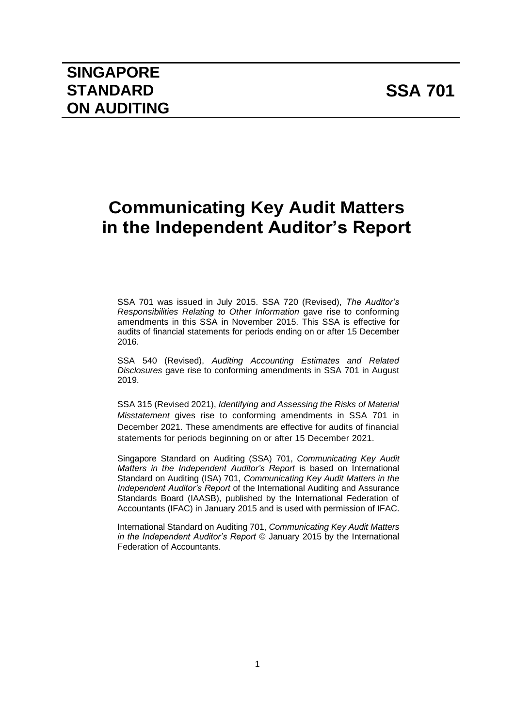## **Communicating Key Audit Matters in the Independent Auditor's Report**

SSA 701 was issued in July 2015. SSA 720 (Revised), *The Auditor's Responsibilities Relating to Other Information* gave rise to conforming amendments in this SSA in November 2015. This SSA is effective for audits of financial statements for periods ending on or after 15 December 2016.

SSA 540 (Revised), *Auditing Accounting Estimates and Related Disclosures* gave rise to conforming amendments in SSA 701 in August 2019.

SSA 315 (Revised 2021), *Identifying and Assessing the Risks of Material Misstatement* gives rise to conforming amendments in SSA 701 in December 2021. These amendments are effective for audits of financial statements for periods beginning on or after 15 December 2021.

Singapore Standard on Auditing (SSA) 701, *Communicating Key Audit Matters in the Independent Auditor's Report* is based on International Standard on Auditing (ISA) 701, *Communicating Key Audit Matters in the Independent Auditor's Report* of the International Auditing and Assurance Standards Board (IAASB), published by the International Federation of Accountants (IFAC) in January 2015 and is used with permission of IFAC.

International Standard on Auditing 701, *Communicating Key Audit Matters in the Independent Auditor's Report* © January 2015 by the International Federation of Accountants.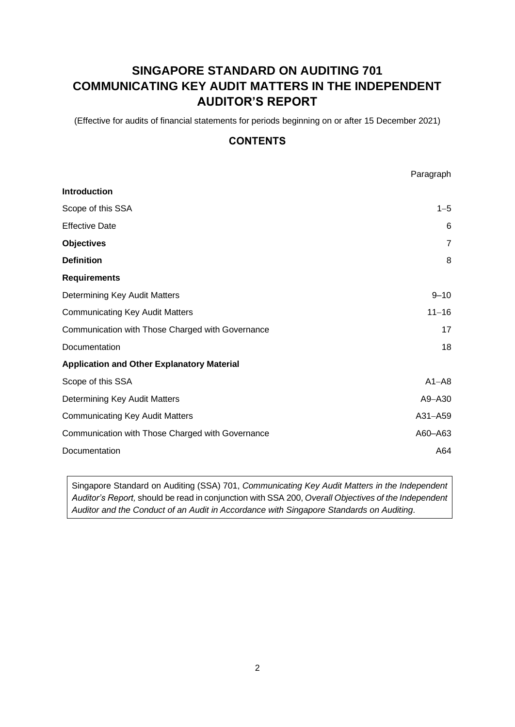## **SINGAPORE STANDARD ON AUDITING 701 COMMUNICATING KEY AUDIT MATTERS IN THE INDEPENDENT AUDITOR'S REPORT**

(Effective for audits of financial statements for periods beginning on or after 15 December 2021)

### **CONTENTS**

Paragraph

| Introduction                                      |                |
|---------------------------------------------------|----------------|
| Scope of this SSA                                 | $1 - 5$        |
| <b>Effective Date</b>                             | 6              |
| <b>Objectives</b>                                 | $\overline{7}$ |
| <b>Definition</b>                                 | 8              |
| <b>Requirements</b>                               |                |
| Determining Key Audit Matters                     | $9 - 10$       |
| <b>Communicating Key Audit Matters</b>            | $11 - 16$      |
| Communication with Those Charged with Governance  | 17             |
| Documentation                                     | 18             |
| <b>Application and Other Explanatory Material</b> |                |
| Scope of this SSA                                 | $A1 - AB$      |
| Determining Key Audit Matters                     | A9-A30         |
| <b>Communicating Key Audit Matters</b>            | A31-A59        |
| Communication with Those Charged with Governance  | A60-A63        |
| Documentation                                     | A64            |

Singapore Standard on Auditing (SSA) 701, *Communicating Key Audit Matters in the Independent Auditor's Report,* should be read in conjunction with SSA 200, *Overall Objectives of the Independent Auditor and the Conduct of an Audit in Accordance with Singapore Standards on Auditing*.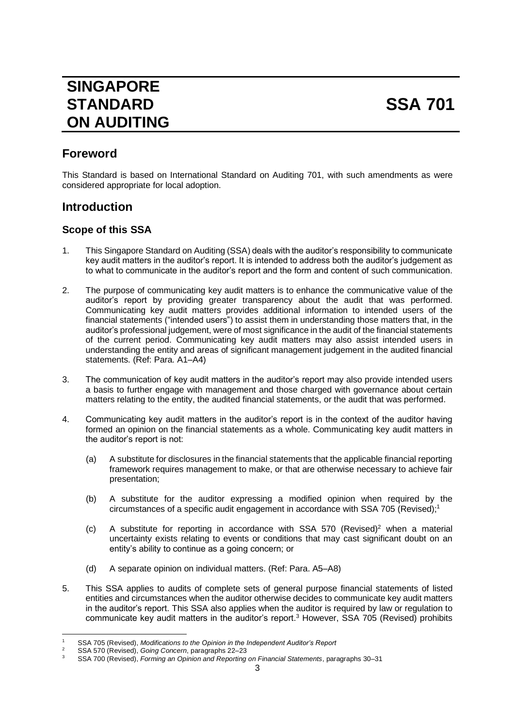# **SSA 701**

## **SINGAPORE STANDARD ON AUDITING**

## **Foreword**

This Standard is based on International Standard on Auditing 701, with such amendments as were considered appropriate for local adoption.

## **Introduction**

## **Scope of this SSA**

- 1. This Singapore Standard on Auditing (SSA) deals with the auditor's responsibility to communicate key audit matters in the auditor's report. It is intended to address both the auditor's judgement as to what to communicate in the auditor's report and the form and content of such communication.
- 2. The purpose of communicating key audit matters is to enhance the communicative value of the auditor's report by providing greater transparency about the audit that was performed. Communicating key audit matters provides additional information to intended users of the financial statements ("intended users") to assist them in understanding those matters that, in the auditor's professional judgement, were of most significance in the audit of the financial statements of the current period. Communicating key audit matters may also assist intended users in understanding the entity and areas of significant management judgement in the audited financial statements. (Ref: Para. A1–A4)
- 3. The communication of key audit matters in the auditor's report may also provide intended users a basis to further engage with management and those charged with governance about certain matters relating to the entity, the audited financial statements, or the audit that was performed.
- 4. Communicating key audit matters in the auditor's report is in the context of the auditor having formed an opinion on the financial statements as a whole. Communicating key audit matters in the auditor's report is not:
	- (a) A substitute for disclosures in the financial statements that the applicable financial reporting framework requires management to make, or that are otherwise necessary to achieve fair presentation;
	- (b) A substitute for the auditor expressing a modified opinion when required by the circumstances of a specific audit engagement in accordance with SSA 705 (Revised):<sup>1</sup>
	- (c) A substitute for reporting in accordance with SSA 570 (Revised)<sup>2</sup> when a material uncertainty exists relating to events or conditions that may cast significant doubt on an entity's ability to continue as a going concern; or
	- (d) A separate opinion on individual matters. (Ref: Para. A5–A8)
- 5. This SSA applies to audits of complete sets of general purpose financial statements of listed entities and circumstances when the auditor otherwise decides to communicate key audit matters in the auditor's report. This SSA also applies when the auditor is required by law or regulation to communicate key audit matters in the auditor's report.<sup>3</sup> However, SSA 705 (Revised) prohibits

<sup>&</sup>lt;sup>1</sup> SSA 705 (Revised), *Modifications to the Opinion in the Independent Auditor's Report*<br><sup>2</sup> SSA 570 (Revised), *Going Concern, paragraphs* 22–23

<sup>2</sup> SSA 570 (Revised), *Going Concern*, paragraphs 22–23

<sup>3</sup> SSA 700 (Revised), *Forming an Opinion and Reporting on Financial Statements*, paragraphs 30–31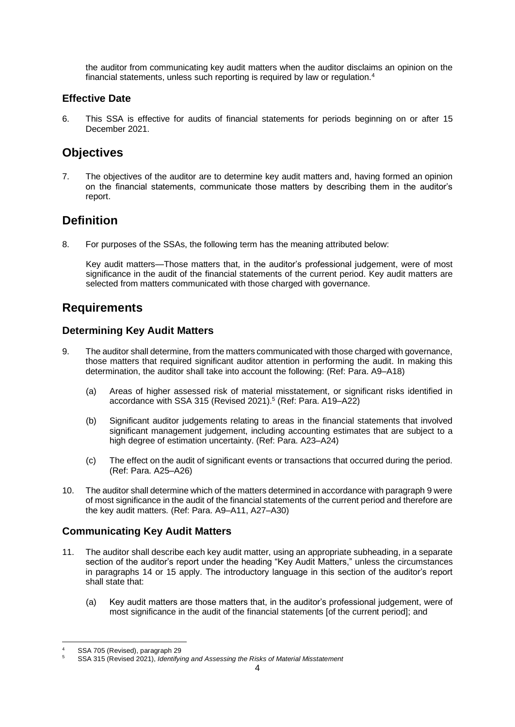the auditor from communicating key audit matters when the auditor disclaims an opinion on the financial statements, unless such reporting is required by law or regulation.<sup>4</sup>

#### **Effective Date**

6. This SSA is effective for audits of financial statements for periods beginning on or after 15 December 2021.

## **Objectives**

7. The objectives of the auditor are to determine key audit matters and, having formed an opinion on the financial statements, communicate those matters by describing them in the auditor's report.

## **Definition**

8. For purposes of the SSAs, the following term has the meaning attributed below:

Key audit matters—Those matters that, in the auditor's professional judgement, were of most significance in the audit of the financial statements of the current period. Key audit matters are selected from matters communicated with those charged with governance.

## **Requirements**

#### **Determining Key Audit Matters**

- 9. The auditor shall determine, from the matters communicated with those charged with governance, those matters that required significant auditor attention in performing the audit. In making this determination, the auditor shall take into account the following: (Ref: Para. A9–A18)
	- (a) Areas of higher assessed risk of material misstatement, or significant risks identified in accordance with SSA 315 (Revised 2021). 5 (Ref: Para. A19–A22)
	- (b) Significant auditor judgements relating to areas in the financial statements that involved significant management judgement, including accounting estimates that are subject to a high degree of estimation uncertainty. (Ref: Para. A23–A24)
	- (c) The effect on the audit of significant events or transactions that occurred during the period. (Ref: Para. A25–A26)
- 10. The auditor shall determine which of the matters determined in accordance with paragraph 9 were of most significance in the audit of the financial statements of the current period and therefore are the key audit matters. (Ref: Para. A9–A11, A27–A30)

## **Communicating Key Audit Matters**

- 11. The auditor shall describe each key audit matter, using an appropriate subheading, in a separate section of the auditor's report under the heading "Key Audit Matters," unless the circumstances in paragraphs 14 or 15 apply. The introductory language in this section of the auditor's report shall state that:
	- (a) Key audit matters are those matters that, in the auditor's professional judgement, were of most significance in the audit of the financial statements [of the current period]; and

SSA 705 (Revised), paragraph 29

<sup>5</sup> SSA 315 (Revised 2021), *Identifying and Assessing the Risks of Material Misstatement*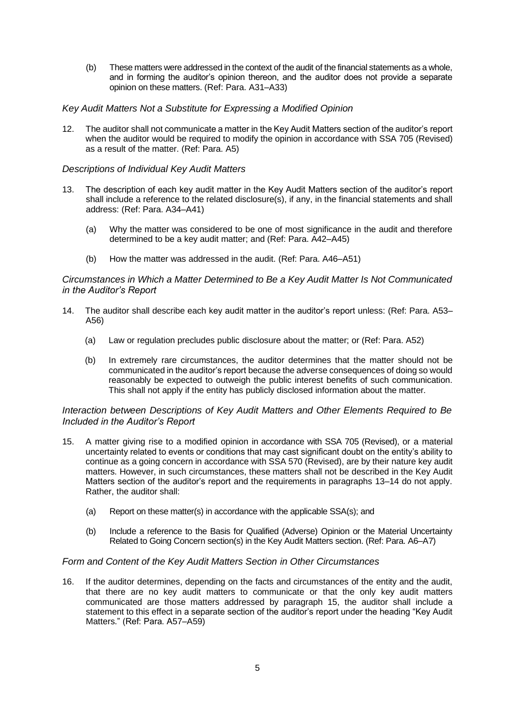(b) These matters were addressed in the context of the audit of the financial statements as a whole, and in forming the auditor's opinion thereon, and the auditor does not provide a separate opinion on these matters. (Ref: Para. A31–A33)

#### *Key Audit Matters Not a Substitute for Expressing a Modified Opinion*

12. The auditor shall not communicate a matter in the Key Audit Matters section of the auditor's report when the auditor would be required to modify the opinion in accordance with SSA 705 (Revised) as a result of the matter. (Ref: Para. A5)

#### *Descriptions of Individual Key Audit Matters*

- 13. The description of each key audit matter in the Key Audit Matters section of the auditor's report shall include a reference to the related disclosure(s), if any, in the financial statements and shall address: (Ref: Para. A34–A41)
	- (a) Why the matter was considered to be one of most significance in the audit and therefore determined to be a key audit matter; and (Ref: Para. A42–A45)
	- (b) How the matter was addressed in the audit. (Ref: Para. A46–A51)

#### *Circumstances in Which a Matter Determined to Be a Key Audit Matter Is Not Communicated in the Auditor's Report*

- 14. The auditor shall describe each key audit matter in the auditor's report unless: (Ref: Para. A53– A56)
	- (a) Law or regulation precludes public disclosure about the matter; or (Ref: Para. A52)
	- (b) In extremely rare circumstances, the auditor determines that the matter should not be communicated in the auditor's report because the adverse consequences of doing so would reasonably be expected to outweigh the public interest benefits of such communication. This shall not apply if the entity has publicly disclosed information about the matter.

#### *Interaction between Descriptions of Key Audit Matters and Other Elements Required to Be Included in the Auditor's Report*

- 15. A matter giving rise to a modified opinion in accordance with SSA 705 (Revised), or a material uncertainty related to events or conditions that may cast significant doubt on the entity's ability to continue as a going concern in accordance with SSA 570 (Revised), are by their nature key audit matters. However, in such circumstances, these matters shall not be described in the Key Audit Matters section of the auditor's report and the requirements in paragraphs 13–14 do not apply. Rather, the auditor shall:
	- (a) Report on these matter(s) in accordance with the applicable SSA(s); and
	- (b) Include a reference to the Basis for Qualified (Adverse) Opinion or the Material Uncertainty Related to Going Concern section(s) in the Key Audit Matters section. (Ref: Para. A6–A7)

#### *Form and Content of the Key Audit Matters Section in Other Circumstances*

16. If the auditor determines, depending on the facts and circumstances of the entity and the audit, that there are no key audit matters to communicate or that the only key audit matters communicated are those matters addressed by paragraph 15, the auditor shall include a statement to this effect in a separate section of the auditor's report under the heading "Key Audit Matters." (Ref: Para. A57–A59)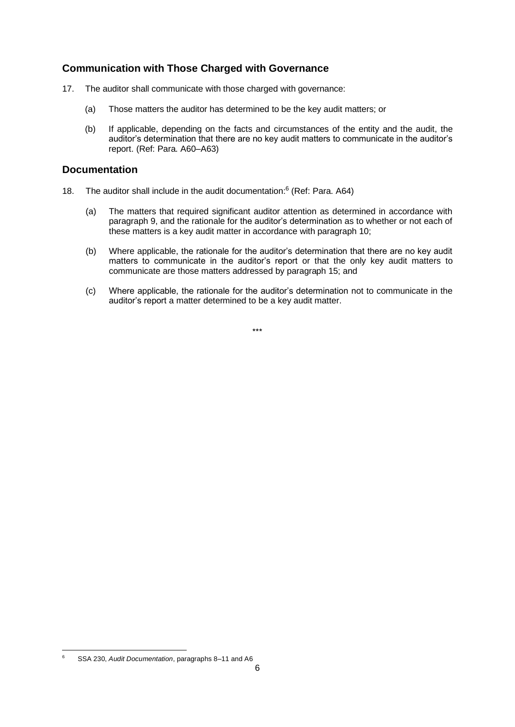## **Communication with Those Charged with Governance**

- 17. The auditor shall communicate with those charged with governance:
	- (a) Those matters the auditor has determined to be the key audit matters; or
	- (b) If applicable, depending on the facts and circumstances of the entity and the audit, the auditor's determination that there are no key audit matters to communicate in the auditor's report. (Ref: Para. A60–A63)

#### **Documentation**

- 18. The auditor shall include in the audit documentation: 6 (Ref: Para. A64)
	- (a) The matters that required significant auditor attention as determined in accordance with paragraph 9, and the rationale for the auditor's determination as to whether or not each of these matters is a key audit matter in accordance with paragraph 10;
	- (b) Where applicable, the rationale for the auditor's determination that there are no key audit matters to communicate in the auditor's report or that the only key audit matters to communicate are those matters addressed by paragraph 15; and
	- (c) Where applicable, the rationale for the auditor's determination not to communicate in the auditor's report a matter determined to be a key audit matter.

\*\*\*

<sup>6</sup> SSA 230, *Audit Documentation*, paragraphs 8–11 and A6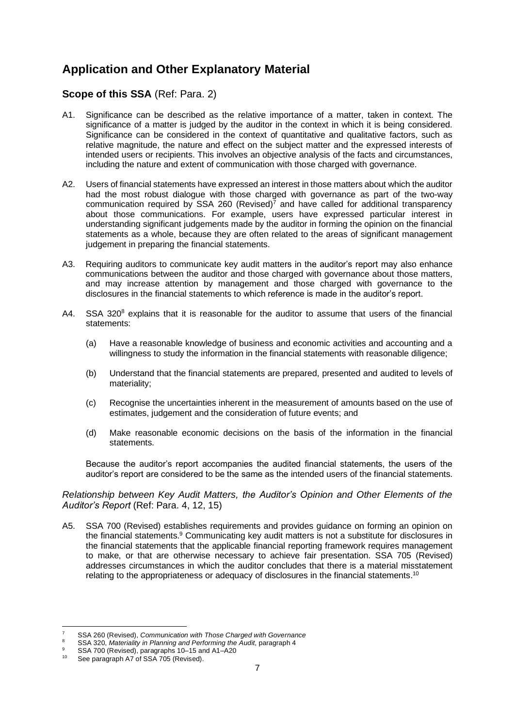## **Application and Other Explanatory Material**

## **Scope of this SSA** (Ref: Para. 2)

- A1. Significance can be described as the relative importance of a matter, taken in context. The significance of a matter is judged by the auditor in the context in which it is being considered. Significance can be considered in the context of quantitative and qualitative factors, such as relative magnitude, the nature and effect on the subject matter and the expressed interests of intended users or recipients. This involves an objective analysis of the facts and circumstances, including the nature and extent of communication with those charged with governance.
- A2. Users of financial statements have expressed an interest in those matters about which the auditor had the most robust dialogue with those charged with governance as part of the two-way communication required by SSA 260 (Revised) $\frac{1}{7}$  and have called for additional transparency about those communications. For example, users have expressed particular interest in understanding significant judgements made by the auditor in forming the opinion on the financial statements as a whole, because they are often related to the areas of significant management judgement in preparing the financial statements.
- A3. Requiring auditors to communicate key audit matters in the auditor's report may also enhance communications between the auditor and those charged with governance about those matters, and may increase attention by management and those charged with governance to the disclosures in the financial statements to which reference is made in the auditor's report.
- A4.  $SSA$  320 $^8$  explains that it is reasonable for the auditor to assume that users of the financial statements:
	- (a) Have a reasonable knowledge of business and economic activities and accounting and a willingness to study the information in the financial statements with reasonable diligence;
	- (b) Understand that the financial statements are prepared, presented and audited to levels of materiality;
	- (c) Recognise the uncertainties inherent in the measurement of amounts based on the use of estimates, judgement and the consideration of future events; and
	- (d) Make reasonable economic decisions on the basis of the information in the financial statements.

Because the auditor's report accompanies the audited financial statements, the users of the auditor's report are considered to be the same as the intended users of the financial statements.

*Relationship between Key Audit Matters, the Auditor's Opinion and Other Elements of the Auditor's Report* (Ref: Para. 4, 12, 15)

A5. SSA 700 (Revised) establishes requirements and provides guidance on forming an opinion on the financial statements.<sup>9</sup> Communicating key audit matters is not a substitute for disclosures in the financial statements that the applicable financial reporting framework requires management to make, or that are otherwise necessary to achieve fair presentation. SSA 705 (Revised) addresses circumstances in which the auditor concludes that there is a material misstatement relating to the appropriateness or adequacy of disclosures in the financial statements.<sup>10</sup>

<sup>7</sup> SSA 260 (Revised), *Communication with Those Charged with Governance*

<sup>8</sup> SSA 320, *Materiality in Planning and Performing the Audit*, paragraph 4<br>8 SSA 700 (Poviced), paragraphs 10, 15 and 01, 020

<sup>9</sup> SSA 700 (Revised), paragraphs 10–15 and A1–A20 10 See paragraph A7 of SSA 705 (Revised).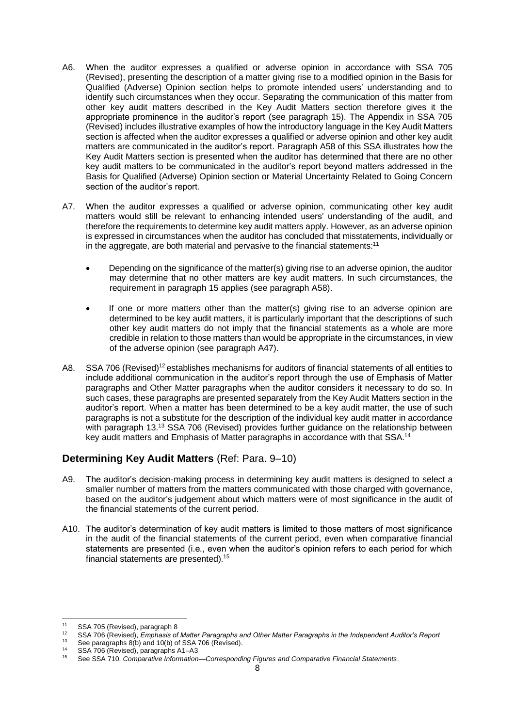- A6. When the auditor expresses a qualified or adverse opinion in accordance with SSA 705 (Revised), presenting the description of a matter giving rise to a modified opinion in the Basis for Qualified (Adverse) Opinion section helps to promote intended users' understanding and to identify such circumstances when they occur. Separating the communication of this matter from other key audit matters described in the Key Audit Matters section therefore gives it the appropriate prominence in the auditor's report (see paragraph 15). The Appendix in SSA 705 (Revised) includes illustrative examples of how the introductory language in the Key Audit Matters section is affected when the auditor expresses a qualified or adverse opinion and other key audit matters are communicated in the auditor's report. Paragraph A58 of this SSA illustrates how the Key Audit Matters section is presented when the auditor has determined that there are no other key audit matters to be communicated in the auditor's report beyond matters addressed in the Basis for Qualified (Adverse) Opinion section or Material Uncertainty Related to Going Concern section of the auditor's report.
- A7. When the auditor expresses a qualified or adverse opinion, communicating other key audit matters would still be relevant to enhancing intended users' understanding of the audit, and therefore the requirements to determine key audit matters apply. However, as an adverse opinion is expressed in circumstances when the auditor has concluded that misstatements, individually or in the aggregate, are both material and pervasive to the financial statements:<sup>11</sup>
	- Depending on the significance of the matter(s) giving rise to an adverse opinion, the auditor may determine that no other matters are key audit matters. In such circumstances, the requirement in paragraph 15 applies (see paragraph A58).
	- If one or more matters other than the matter(s) giving rise to an adverse opinion are determined to be key audit matters, it is particularly important that the descriptions of such other key audit matters do not imply that the financial statements as a whole are more credible in relation to those matters than would be appropriate in the circumstances, in view of the adverse opinion (see paragraph A47).
- A8. SSA 706 (Revised)<sup>12</sup> establishes mechanisms for auditors of financial statements of all entities to include additional communication in the auditor's report through the use of Emphasis of Matter paragraphs and Other Matter paragraphs when the auditor considers it necessary to do so. In such cases, these paragraphs are presented separately from the Key Audit Matters section in the auditor's report. When a matter has been determined to be a key audit matter, the use of such paragraphs is not a substitute for the description of the individual key audit matter in accordance with paragraph 13.<sup>13</sup> SSA 706 (Revised) provides further guidance on the relationship between key audit matters and Emphasis of Matter paragraphs in accordance with that SSA.<sup>14</sup>

## **Determining Key Audit Matters** (Ref: Para. 9–10)

- A9. The auditor's decision-making process in determining key audit matters is designed to select a smaller number of matters from the matters communicated with those charged with governance, based on the auditor's judgement about which matters were of most significance in the audit of the financial statements of the current period.
- A10. The auditor's determination of key audit matters is limited to those matters of most significance in the audit of the financial statements of the current period, even when comparative financial statements are presented (i.e., even when the auditor's opinion refers to each period for which financial statements are presented).<sup>15</sup>

<sup>&</sup>lt;sup>11</sup> SSA 705 (Revised), paragraph 8<br><sup>12</sup> SSA 706 (Revised), Emphasis of

<sup>12</sup> SSA 706 (Revised), *Emphasis of Matter Paragraphs and Other Matter Paragraphs in the Independent Auditor's Report*

<sup>&</sup>lt;sup>13</sup> See paragraphs  $8(b)$  and  $10(b)$  of SSA 706 (Revised).<br><sup>14</sup> SSA 706 (Revised), paragraphs  $A1 - A3$ 

SSA 706 (Revised), paragraphs A1-A3

<sup>15</sup> See SSA 710, *Comparative Information—Corresponding Figures and Comparative Financial Statements*.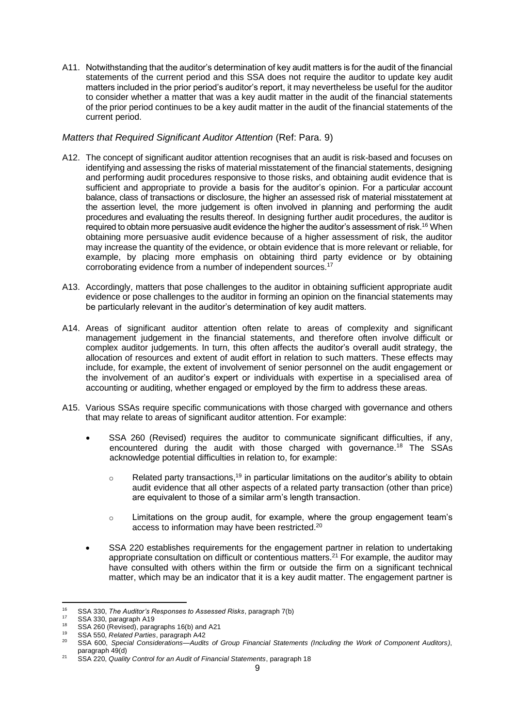A11. Notwithstanding that the auditor's determination of key audit matters is for the audit of the financial statements of the current period and this SSA does not require the auditor to update key audit matters included in the prior period's auditor's report, it may nevertheless be useful for the auditor to consider whether a matter that was a key audit matter in the audit of the financial statements of the prior period continues to be a key audit matter in the audit of the financial statements of the current period.

#### *Matters that Required Significant Auditor Attention* (Ref: Para. 9)

- A12. The concept of significant auditor attention recognises that an audit is risk-based and focuses on identifying and assessing the risks of material misstatement of the financial statements, designing and performing audit procedures responsive to those risks, and obtaining audit evidence that is sufficient and appropriate to provide a basis for the auditor's opinion. For a particular account balance, class of transactions or disclosure, the higher an assessed risk of material misstatement at the assertion level, the more judgement is often involved in planning and performing the audit procedures and evaluating the results thereof. In designing further audit procedures, the auditor is required to obtain more persuasive audit evidence the higher the auditor's assessment of risk.<sup>16</sup> When obtaining more persuasive audit evidence because of a higher assessment of risk, the auditor may increase the quantity of the evidence, or obtain evidence that is more relevant or reliable, for example, by placing more emphasis on obtaining third party evidence or by obtaining corroborating evidence from a number of independent sources.<sup>17</sup>
- A13. Accordingly, matters that pose challenges to the auditor in obtaining sufficient appropriate audit evidence or pose challenges to the auditor in forming an opinion on the financial statements may be particularly relevant in the auditor's determination of key audit matters.
- A14. Areas of significant auditor attention often relate to areas of complexity and significant management judgement in the financial statements, and therefore often involve difficult or complex auditor judgements. In turn, this often affects the auditor's overall audit strategy, the allocation of resources and extent of audit effort in relation to such matters. These effects may include, for example, the extent of involvement of senior personnel on the audit engagement or the involvement of an auditor's expert or individuals with expertise in a specialised area of accounting or auditing, whether engaged or employed by the firm to address these areas.
- A15. Various SSAs require specific communications with those charged with governance and others that may relate to areas of significant auditor attention. For example:
	- SSA 260 (Revised) requires the auditor to communicate significant difficulties, if any, encountered during the audit with those charged with governance.<sup>18</sup> The SSAs acknowledge potential difficulties in relation to, for example:
		- $\circ$  Related party transactions,<sup>19</sup> in particular limitations on the auditor's ability to obtain audit evidence that all other aspects of a related party transaction (other than price) are equivalent to those of a similar arm's length transaction.
		- o Limitations on the group audit, for example, where the group engagement team's access to information may have been restricted.<sup>20</sup>
	- SSA 220 establishes requirements for the engagement partner in relation to undertaking appropriate consultation on difficult or contentious matters.<sup>21</sup> For example, the auditor may have consulted with others within the firm or outside the firm on a significant technical matter, which may be an indicator that it is a key audit matter. The engagement partner is

<sup>16</sup> SSA 330, *The Auditor's Responses to Assessed Risks*, paragraph 7(b)

 $17$  SSA 330, paragraph A19

<sup>&</sup>lt;sup>18</sup> SSA 260 (Revised), paragraphs 16(b) and A21

<sup>19</sup> SSA 550, *Related Parties*, paragraph A42

<sup>20</sup> SSA 600, *Special Considerations—Audits of Group Financial Statements (Including the Work of Component Auditors)*, paragraph 49(d)

<sup>21</sup> SSA 220, *Quality Control for an Audit of Financial Statements*, paragraph 18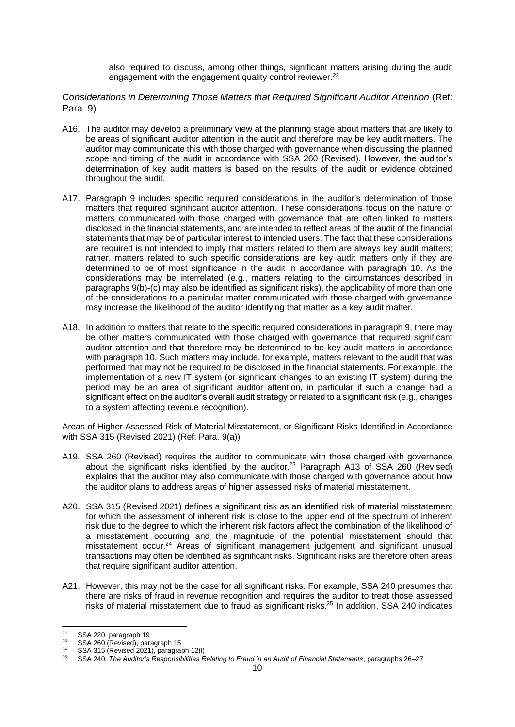also required to discuss, among other things, significant matters arising during the audit engagement with the engagement quality control reviewer.<sup>22</sup>

*Considerations in Determining Those Matters that Required Significant Auditor Attention* (Ref: Para. 9)

- A16. The auditor may develop a preliminary view at the planning stage about matters that are likely to be areas of significant auditor attention in the audit and therefore may be key audit matters. The auditor may communicate this with those charged with governance when discussing the planned scope and timing of the audit in accordance with SSA 260 (Revised). However, the auditor's determination of key audit matters is based on the results of the audit or evidence obtained throughout the audit.
- A17. Paragraph 9 includes specific required considerations in the auditor's determination of those matters that required significant auditor attention. These considerations focus on the nature of matters communicated with those charged with governance that are often linked to matters disclosed in the financial statements, and are intended to reflect areas of the audit of the financial statements that may be of particular interest to intended users. The fact that these considerations are required is not intended to imply that matters related to them are always key audit matters; rather, matters related to such specific considerations are key audit matters only if they are determined to be of most significance in the audit in accordance with paragraph 10. As the considerations may be interrelated (e.g., matters relating to the circumstances described in paragraphs 9(b)-(c) may also be identified as significant risks), the applicability of more than one of the considerations to a particular matter communicated with those charged with governance may increase the likelihood of the auditor identifying that matter as a key audit matter.
- A18. In addition to matters that relate to the specific required considerations in paragraph 9, there may be other matters communicated with those charged with governance that required significant auditor attention and that therefore may be determined to be key audit matters in accordance with paragraph 10. Such matters may include, for example, matters relevant to the audit that was performed that may not be required to be disclosed in the financial statements. For example, the implementation of a new IT system (or significant changes to an existing IT system) during the period may be an area of significant auditor attention, in particular if such a change had a significant effect on the auditor's overall audit strategy or related to a significant risk (e.g., changes to a system affecting revenue recognition).

Areas of Higher Assessed Risk of Material Misstatement, or Significant Risks Identified in Accordance with SSA 315 (Revised 2021) (Ref: Para. 9(a))

- A19. SSA 260 (Revised) requires the auditor to communicate with those charged with governance about the significant risks identified by the auditor.<sup>23</sup> Paragraph A13 of SSA 260 (Revised) explains that the auditor may also communicate with those charged with governance about how the auditor plans to address areas of higher assessed risks of material misstatement.
- A20. SSA 315 (Revised 2021) defines a significant risk as an identified risk of material misstatement for which the assessment of inherent risk is close to the upper end of the spectrum of inherent risk due to the degree to which the inherent risk factors affect the combination of the likelihood of a misstatement occurring and the magnitude of the potential misstatement should that misstatement occur.<sup>24</sup> Areas of significant management judgement and significant unusual transactions may often be identified as significant risks. Significant risks are therefore often areas that require significant auditor attention.
- A21. However, this may not be the case for all significant risks. For example, SSA 240 presumes that there are risks of fraud in revenue recognition and requires the auditor to treat those assessed risks of material misstatement due to fraud as significant risks.<sup>25</sup> In addition, SSA 240 indicates

 $\frac{22}{23}$  SSA 220, paragraph 19

<sup>&</sup>lt;sup>23</sup> SSA 260 (Revised), paragraph 15<br><sup>24</sup> SSA 315 (Revised 2021), paragrap

SSA 315 (Revised 2021), paragraph 12(l) <sup>25</sup> SSA 240, *The Auditor's Responsibilities Relating to Fraud in an Audit of Financial Statements*, paragraphs 26–27

<sup>10</sup>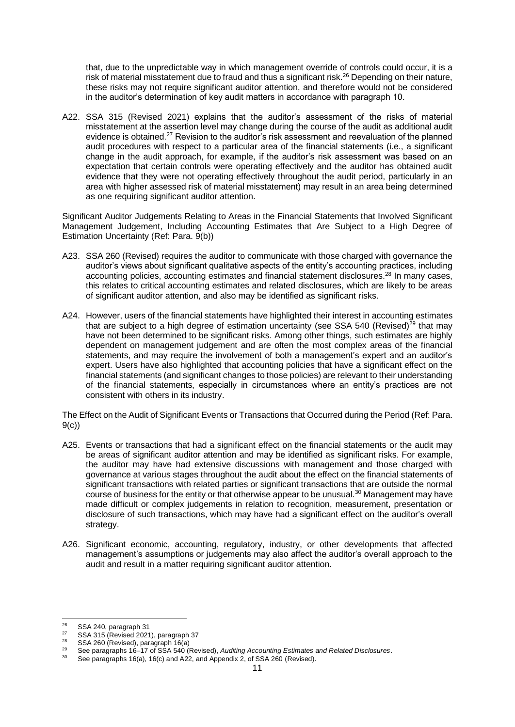that, due to the unpredictable way in which management override of controls could occur, it is a risk of material misstatement due to fraud and thus a significant risk.<sup>26</sup> Depending on their nature, these risks may not require significant auditor attention, and therefore would not be considered in the auditor's determination of key audit matters in accordance with paragraph 10.

A22. SSA 315 (Revised 2021) explains that the auditor's assessment of the risks of material misstatement at the assertion level may change during the course of the audit as additional audit evidence is obtained.<sup>27</sup> Revision to the auditor's risk assessment and reevaluation of the planned audit procedures with respect to a particular area of the financial statements (i.e., a significant change in the audit approach, for example, if the auditor's risk assessment was based on an expectation that certain controls were operating effectively and the auditor has obtained audit evidence that they were not operating effectively throughout the audit period, particularly in an area with higher assessed risk of material misstatement) may result in an area being determined as one requiring significant auditor attention.

Significant Auditor Judgements Relating to Areas in the Financial Statements that Involved Significant Management Judgement, Including Accounting Estimates that Are Subject to a High Degree of Estimation Uncertainty (Ref: Para. 9(b))

- A23. SSA 260 (Revised) requires the auditor to communicate with those charged with governance the auditor's views about significant qualitative aspects of the entity's accounting practices, including accounting policies, accounting estimates and financial statement disclosures.<sup>28</sup> In many cases, this relates to critical accounting estimates and related disclosures, which are likely to be areas of significant auditor attention, and also may be identified as significant risks.
- A24. However, users of the financial statements have highlighted their interest in accounting estimates that are subject to a high degree of estimation uncertainty (see SSA 540 (Revised) $29$  that may have not been determined to be significant risks. Among other things, such estimates are highly dependent on management judgement and are often the most complex areas of the financial statements, and may require the involvement of both a management's expert and an auditor's expert. Users have also highlighted that accounting policies that have a significant effect on the financial statements (and significant changes to those policies) are relevant to their understanding of the financial statements, especially in circumstances where an entity's practices are not consistent with others in its industry.

The Effect on the Audit of Significant Events or Transactions that Occurred during the Period (Ref: Para. 9(c))

- A25. Events or transactions that had a significant effect on the financial statements or the audit may be areas of significant auditor attention and may be identified as significant risks. For example, the auditor may have had extensive discussions with management and those charged with governance at various stages throughout the audit about the effect on the financial statements of significant transactions with related parties or significant transactions that are outside the normal course of business for the entity or that otherwise appear to be unusual.<sup>30</sup> Management may have made difficult or complex judgements in relation to recognition, measurement, presentation or disclosure of such transactions, which may have had a significant effect on the auditor's overall strategy.
- A26. Significant economic, accounting, regulatory, industry, or other developments that affected management's assumptions or judgements may also affect the auditor's overall approach to the audit and result in a matter requiring significant auditor attention.

 $^{26}$  SSA 240, paragraph 31

<sup>&</sup>lt;sup>27</sup> SSA 315 (Revised 2021), paragraph 37<br> $^{28}$  SSA 350 (Revised), paragraph 40(s)

<sup>&</sup>lt;sup>28</sup> SSA 260 (Revised), paragraph 16(a)<br><sup>29</sup> See paragraphs 16–17 of SSA 540 (E

<sup>29</sup> See paragraphs 16–17 of SSA 540 (Revised), *Auditing Accounting Estimates and Related Disclosures*.

See paragraphs 16(a), 16(c) and A22, and Appendix 2, of SSA 260 (Revised).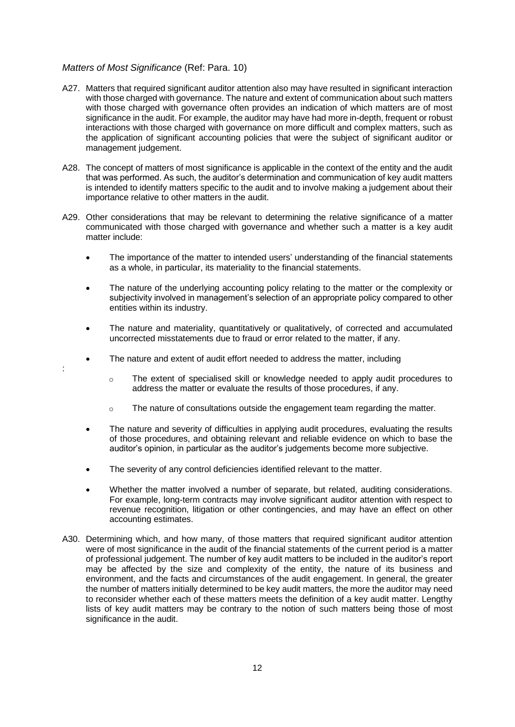#### *Matters of Most Significance* (Ref: Para. 10)

:

- A27. Matters that required significant auditor attention also may have resulted in significant interaction with those charged with governance. The nature and extent of communication about such matters with those charged with governance often provides an indication of which matters are of most significance in the audit. For example, the auditor may have had more in-depth, frequent or robust interactions with those charged with governance on more difficult and complex matters, such as the application of significant accounting policies that were the subject of significant auditor or management judgement.
- A28. The concept of matters of most significance is applicable in the context of the entity and the audit that was performed. As such, the auditor's determination and communication of key audit matters is intended to identify matters specific to the audit and to involve making a judgement about their importance relative to other matters in the audit.
- A29. Other considerations that may be relevant to determining the relative significance of a matter communicated with those charged with governance and whether such a matter is a key audit matter include:
	- The importance of the matter to intended users' understanding of the financial statements as a whole, in particular, its materiality to the financial statements.
	- The nature of the underlying accounting policy relating to the matter or the complexity or subjectivity involved in management's selection of an appropriate policy compared to other entities within its industry.
	- The nature and materiality, quantitatively or qualitatively, of corrected and accumulated uncorrected misstatements due to fraud or error related to the matter, if any.
	- The nature and extent of audit effort needed to address the matter, including
		- o The extent of specialised skill or knowledge needed to apply audit procedures to address the matter or evaluate the results of those procedures, if any.
		- o The nature of consultations outside the engagement team regarding the matter.
	- The nature and severity of difficulties in applying audit procedures, evaluating the results of those procedures, and obtaining relevant and reliable evidence on which to base the auditor's opinion, in particular as the auditor's judgements become more subjective.
	- The severity of any control deficiencies identified relevant to the matter.
	- Whether the matter involved a number of separate, but related, auditing considerations. For example, long-term contracts may involve significant auditor attention with respect to revenue recognition, litigation or other contingencies, and may have an effect on other accounting estimates.
- A30. Determining which, and how many, of those matters that required significant auditor attention were of most significance in the audit of the financial statements of the current period is a matter of professional judgement. The number of key audit matters to be included in the auditor's report may be affected by the size and complexity of the entity, the nature of its business and environment, and the facts and circumstances of the audit engagement. In general, the greater the number of matters initially determined to be key audit matters, the more the auditor may need to reconsider whether each of these matters meets the definition of a key audit matter. Lengthy lists of key audit matters may be contrary to the notion of such matters being those of most significance in the audit.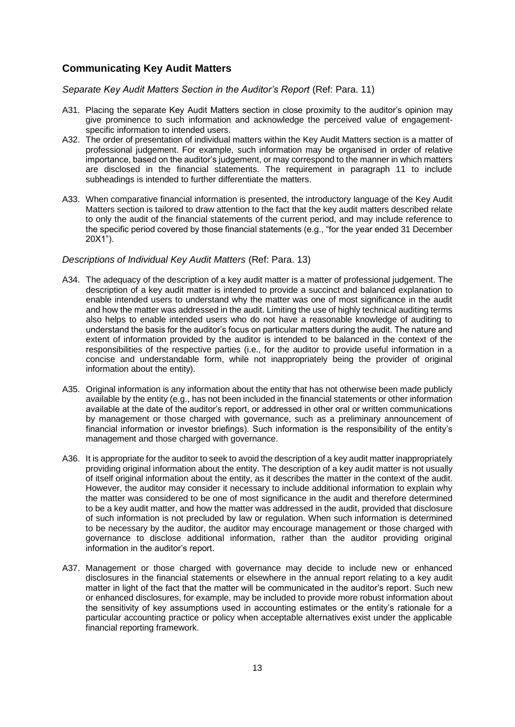## **Communicating Key Audit Matters**

*Separate Key Audit Matters Section in the Auditor's Report (Ref: Para, 11)* 

- A31. Placing the separate Key Audit Matters section in close proximity to the auditor's opinion may give prominence to such information and acknowledge the perceived value of engagementspecific information to intended users.
- A32. The order of presentation of individual matters within the Key Audit Matters section is a matter of professional judgement. For example, such information may be organised in order of relative importance, based on the auditor's judgement, or may correspond to the manner in which matters are disclosed in the financial statements. The requirement in paragraph 11 to include subheadings is intended to further differentiate the matters.
- A33. When comparative financial information is presented, the introductory language of the Key Audit Matters section is tailored to draw attention to the fact that the key audit matters described relate to only the audit of the financial statements of the current period, and may include reference to the specific period covered by those financial statements (e.g., "for the year ended 31 December 20X1").

#### *Descriptions of Individual Key Audit Matters* (Ref: Para. 13)

- A34. The adequacy of the description of a key audit matter is a matter of professional judgement. The description of a key audit matter is intended to provide a succinct and balanced explanation to enable intended users to understand why the matter was one of most significance in the audit and how the matter was addressed in the audit. Limiting the use of highly technical auditing terms also helps to enable intended users who do not have a reasonable knowledge of auditing to understand the basis for the auditor's focus on particular matters during the audit. The nature and extent of information provided by the auditor is intended to be balanced in the context of the responsibilities of the respective parties (i.e., for the auditor to provide useful information in a concise and understandable form, while not inappropriately being the provider of original information about the entity).
- A35. Original information is any information about the entity that has not otherwise been made publicly available by the entity (e.g., has not been included in the financial statements or other information available at the date of the auditor's report, or addressed in other oral or written communications by management or those charged with governance, such as a preliminary announcement of financial information or investor briefings). Such information is the responsibility of the entity's management and those charged with governance.
- A36. It is appropriate for the auditor to seek to avoid the description of a key audit matter inappropriately providing original information about the entity. The description of a key audit matter is not usually of itself original information about the entity, as it describes the matter in the context of the audit. However, the auditor may consider it necessary to include additional information to explain why the matter was considered to be one of most significance in the audit and therefore determined to be a key audit matter, and how the matter was addressed in the audit, provided that disclosure of such information is not precluded by law or regulation. When such information is determined to be necessary by the auditor, the auditor may encourage management or those charged with governance to disclose additional information, rather than the auditor providing original information in the auditor's report.
- A37. Management or those charged with governance may decide to include new or enhanced disclosures in the financial statements or elsewhere in the annual report relating to a key audit matter in light of the fact that the matter will be communicated in the auditor's report. Such new or enhanced disclosures, for example, may be included to provide more robust information about the sensitivity of key assumptions used in accounting estimates or the entity's rationale for a particular accounting practice or policy when acceptable alternatives exist under the applicable financial reporting framework.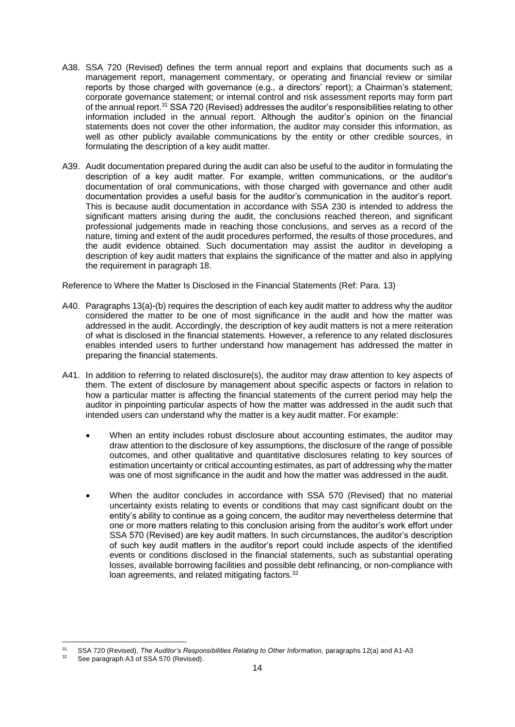- A38. SSA 720 (Revised) defines the term annual report and explains that documents such as a management report, management commentary, or operating and financial review or similar reports by those charged with governance (e.g., a directors' report); a Chairman's statement; corporate governance statement; or internal control and risk assessment reports may form part of the annual report.<sup>31</sup> SSA 720 (Revised) addresses the auditor's responsibilities relating to other information included in the annual report. Although the auditor's opinion on the financial statements does not cover the other information, the auditor may consider this information, as well as other publicly available communications by the entity or other credible sources, in formulating the description of a key audit matter.
- A39. Audit documentation prepared during the audit can also be useful to the auditor in formulating the description of a key audit matter. For example, written communications, or the auditor's documentation of oral communications, with those charged with governance and other audit documentation provides a useful basis for the auditor's communication in the auditor's report. This is because audit documentation in accordance with SSA 230 is intended to address the significant matters arising during the audit, the conclusions reached thereon, and significant professional judgements made in reaching those conclusions, and serves as a record of the nature, timing and extent of the audit procedures performed, the results of those procedures, and the audit evidence obtained. Such documentation may assist the auditor in developing a description of key audit matters that explains the significance of the matter and also in applying the requirement in paragraph 18.

Reference to Where the Matter Is Disclosed in the Financial Statements (Ref: Para. 13)

- A40. Paragraphs 13(a)-(b) requires the description of each key audit matter to address why the auditor considered the matter to be one of most significance in the audit and how the matter was addressed in the audit. Accordingly, the description of key audit matters is not a mere reiteration of what is disclosed in the financial statements. However, a reference to any related disclosures enables intended users to further understand how management has addressed the matter in preparing the financial statements.
- A41. In addition to referring to related disclosure(s), the auditor may draw attention to key aspects of them. The extent of disclosure by management about specific aspects or factors in relation to how a particular matter is affecting the financial statements of the current period may help the auditor in pinpointing particular aspects of how the matter was addressed in the audit such that intended users can understand why the matter is a key audit matter. For example:
	- When an entity includes robust disclosure about accounting estimates, the auditor may draw attention to the disclosure of key assumptions, the disclosure of the range of possible outcomes, and other qualitative and quantitative disclosures relating to key sources of estimation uncertainty or critical accounting estimates, as part of addressing why the matter was one of most significance in the audit and how the matter was addressed in the audit.
	- When the auditor concludes in accordance with SSA 570 (Revised) that no material uncertainty exists relating to events or conditions that may cast significant doubt on the entity's ability to continue as a going concern, the auditor may nevertheless determine that one or more matters relating to this conclusion arising from the auditor's work effort under SSA 570 (Revised) are key audit matters. In such circumstances, the auditor's description of such key audit matters in the auditor's report could include aspects of the identified events or conditions disclosed in the financial statements, such as substantial operating losses, available borrowing facilities and possible debt refinancing, or non-compliance with loan agreements, and related mitigating factors.<sup>32</sup>

<sup>31</sup> SSA 720 (Revised), *The Auditor's Responsibilities Relating to Other Information,* paragraphs 12(a) and A1-A3

See paragraph A3 of SSA 570 (Revised).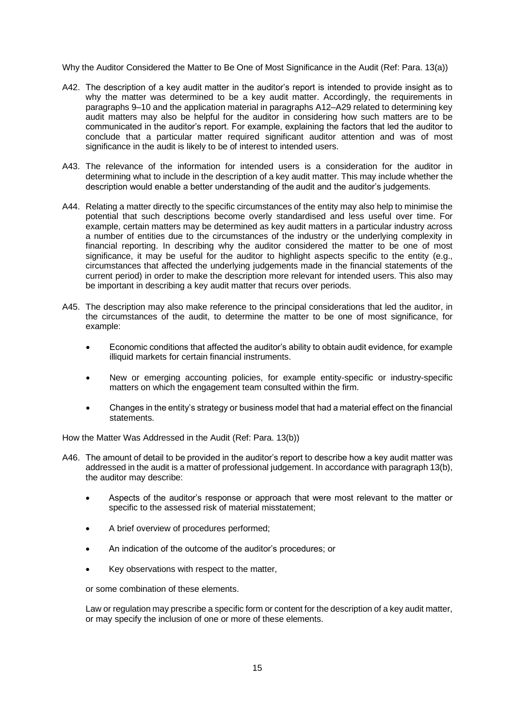Why the Auditor Considered the Matter to Be One of Most Significance in the Audit (Ref: Para. 13(a))

- A42. The description of a key audit matter in the auditor's report is intended to provide insight as to why the matter was determined to be a key audit matter. Accordingly, the requirements in paragraphs 9–10 and the application material in paragraphs A12–A29 related to determining key audit matters may also be helpful for the auditor in considering how such matters are to be communicated in the auditor's report. For example, explaining the factors that led the auditor to conclude that a particular matter required significant auditor attention and was of most significance in the audit is likely to be of interest to intended users.
- A43. The relevance of the information for intended users is a consideration for the auditor in determining what to include in the description of a key audit matter. This may include whether the description would enable a better understanding of the audit and the auditor's judgements.
- A44. Relating a matter directly to the specific circumstances of the entity may also help to minimise the potential that such descriptions become overly standardised and less useful over time. For example, certain matters may be determined as key audit matters in a particular industry across a number of entities due to the circumstances of the industry or the underlying complexity in financial reporting. In describing why the auditor considered the matter to be one of most significance, it may be useful for the auditor to highlight aspects specific to the entity (e.g., circumstances that affected the underlying judgements made in the financial statements of the current period) in order to make the description more relevant for intended users. This also may be important in describing a key audit matter that recurs over periods.
- A45. The description may also make reference to the principal considerations that led the auditor, in the circumstances of the audit, to determine the matter to be one of most significance, for example:
	- Economic conditions that affected the auditor's ability to obtain audit evidence, for example illiquid markets for certain financial instruments.
	- New or emerging accounting policies, for example entity-specific or industry-specific matters on which the engagement team consulted within the firm.
	- Changes in the entity's strategy or business model that had a material effect on the financial statements.

How the Matter Was Addressed in the Audit (Ref: Para. 13(b))

- A46. The amount of detail to be provided in the auditor's report to describe how a key audit matter was addressed in the audit is a matter of professional judgement. In accordance with paragraph 13(b), the auditor may describe:
	- Aspects of the auditor's response or approach that were most relevant to the matter or specific to the assessed risk of material misstatement;
	- A brief overview of procedures performed;
	- An indication of the outcome of the auditor's procedures; or
	- Key observations with respect to the matter,

or some combination of these elements.

Law or regulation may prescribe a specific form or content for the description of a key audit matter, or may specify the inclusion of one or more of these elements.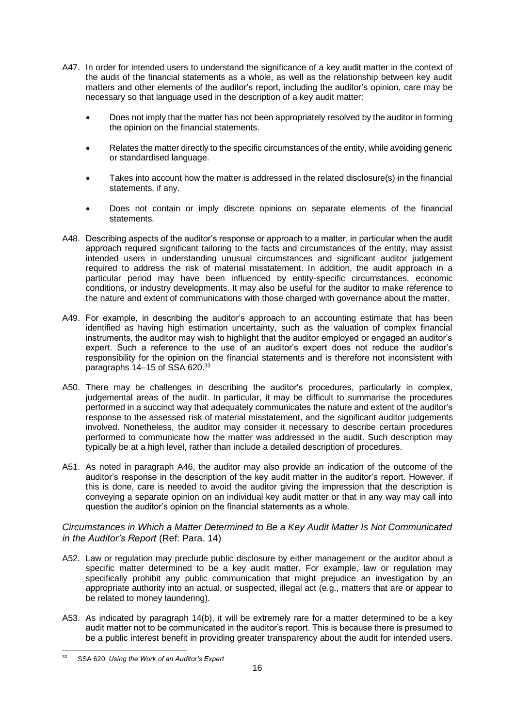- A47. In order for intended users to understand the significance of a key audit matter in the context of the audit of the financial statements as a whole, as well as the relationship between key audit matters and other elements of the auditor's report, including the auditor's opinion, care may be necessary so that language used in the description of a key audit matter:
	- Does not imply that the matter has not been appropriately resolved by the auditor in forming the opinion on the financial statements.
	- Relates the matter directly to the specific circumstances of the entity, while avoiding generic or standardised language.
	- Takes into account how the matter is addressed in the related disclosure(s) in the financial statements, if any.
	- Does not contain or imply discrete opinions on separate elements of the financial statements.
- A48. Describing aspects of the auditor's response or approach to a matter, in particular when the audit approach required significant tailoring to the facts and circumstances of the entity, may assist intended users in understanding unusual circumstances and significant auditor judgement required to address the risk of material misstatement. In addition, the audit approach in a particular period may have been influenced by entity-specific circumstances, economic conditions, or industry developments. It may also be useful for the auditor to make reference to the nature and extent of communications with those charged with governance about the matter.
- A49. For example, in describing the auditor's approach to an accounting estimate that has been identified as having high estimation uncertainty, such as the valuation of complex financial instruments, the auditor may wish to highlight that the auditor employed or engaged an auditor's expert. Such a reference to the use of an auditor's expert does not reduce the auditor's responsibility for the opinion on the financial statements and is therefore not inconsistent with paragraphs 14-15 of SSA 620.<sup>33</sup>
- A50. There may be challenges in describing the auditor's procedures, particularly in complex, judgemental areas of the audit. In particular, it may be difficult to summarise the procedures performed in a succinct way that adequately communicates the nature and extent of the auditor's response to the assessed risk of material misstatement, and the significant auditor judgements involved. Nonetheless, the auditor may consider it necessary to describe certain procedures performed to communicate how the matter was addressed in the audit. Such description may typically be at a high level, rather than include a detailed description of procedures.
- A51. As noted in paragraph A46, the auditor may also provide an indication of the outcome of the auditor's response in the description of the key audit matter in the auditor's report. However, if this is done, care is needed to avoid the auditor giving the impression that the description is conveying a separate opinion on an individual key audit matter or that in any way may call into question the auditor's opinion on the financial statements as a whole.

#### *Circumstances in Which a Matter Determined to Be a Key Audit Matter Is Not Communicated in the Auditor's Report* (Ref: Para. 14)

- A52. Law or regulation may preclude public disclosure by either management or the auditor about a specific matter determined to be a key audit matter. For example, law or regulation may specifically prohibit any public communication that might prejudice an investigation by an appropriate authority into an actual, or suspected, illegal act (e.g., matters that are or appear to be related to money laundering).
- A53. As indicated by paragraph 14(b), it will be extremely rare for a matter determined to be a key audit matter not to be communicated in the auditor's report. This is because there is presumed to be a public interest benefit in providing greater transparency about the audit for intended users.

<sup>33</sup> SSA 620, *Using the Work of an Auditor's Expert*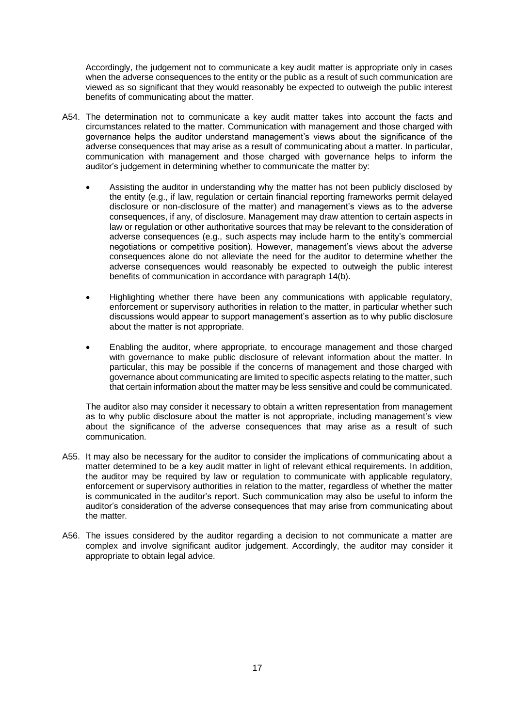Accordingly, the judgement not to communicate a key audit matter is appropriate only in cases when the adverse consequences to the entity or the public as a result of such communication are viewed as so significant that they would reasonably be expected to outweigh the public interest benefits of communicating about the matter.

- A54. The determination not to communicate a key audit matter takes into account the facts and circumstances related to the matter. Communication with management and those charged with governance helps the auditor understand management's views about the significance of the adverse consequences that may arise as a result of communicating about a matter. In particular, communication with management and those charged with governance helps to inform the auditor's judgement in determining whether to communicate the matter by:
	- Assisting the auditor in understanding why the matter has not been publicly disclosed by the entity (e.g., if law, regulation or certain financial reporting frameworks permit delayed disclosure or non-disclosure of the matter) and management's views as to the adverse consequences, if any, of disclosure. Management may draw attention to certain aspects in law or regulation or other authoritative sources that may be relevant to the consideration of adverse consequences (e.g., such aspects may include harm to the entity's commercial negotiations or competitive position). However, management's views about the adverse consequences alone do not alleviate the need for the auditor to determine whether the adverse consequences would reasonably be expected to outweigh the public interest benefits of communication in accordance with paragraph 14(b).
	- Highlighting whether there have been any communications with applicable regulatory, enforcement or supervisory authorities in relation to the matter, in particular whether such discussions would appear to support management's assertion as to why public disclosure about the matter is not appropriate.
	- Enabling the auditor, where appropriate, to encourage management and those charged with governance to make public disclosure of relevant information about the matter. In particular, this may be possible if the concerns of management and those charged with governance about communicating are limited to specific aspects relating to the matter, such that certain information about the matter may be less sensitive and could be communicated.

The auditor also may consider it necessary to obtain a written representation from management as to why public disclosure about the matter is not appropriate, including management's view about the significance of the adverse consequences that may arise as a result of such communication.

- A55. It may also be necessary for the auditor to consider the implications of communicating about a matter determined to be a key audit matter in light of relevant ethical requirements. In addition, the auditor may be required by law or regulation to communicate with applicable regulatory, enforcement or supervisory authorities in relation to the matter, regardless of whether the matter is communicated in the auditor's report. Such communication may also be useful to inform the auditor's consideration of the adverse consequences that may arise from communicating about the matter.
- A56. The issues considered by the auditor regarding a decision to not communicate a matter are complex and involve significant auditor judgement. Accordingly, the auditor may consider it appropriate to obtain legal advice.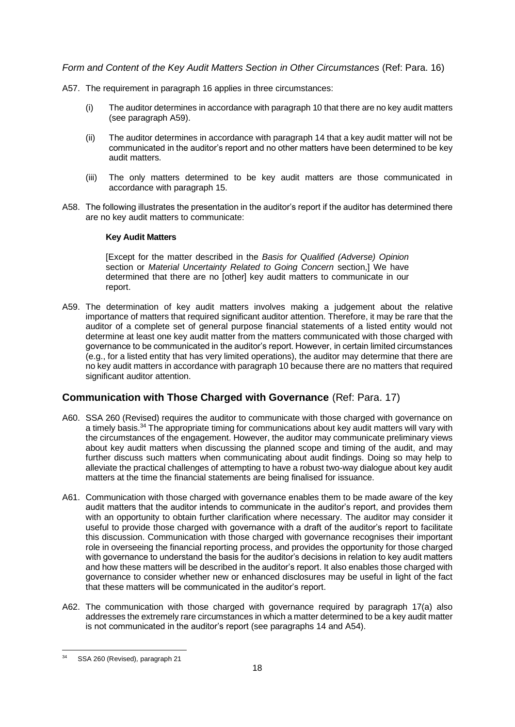*Form and Content of the Key Audit Matters Section in Other Circumstances* (Ref: Para. 16)

- A57. The requirement in paragraph 16 applies in three circumstances:
	- (i) The auditor determines in accordance with paragraph 10 that there are no key audit matters (see paragraph A59).
	- (ii) The auditor determines in accordance with paragraph 14 that a key audit matter will not be communicated in the auditor's report and no other matters have been determined to be key audit matters.
	- (iii) The only matters determined to be key audit matters are those communicated in accordance with paragraph 15.
- A58. The following illustrates the presentation in the auditor's report if the auditor has determined there are no key audit matters to communicate:

#### **Key Audit Matters**

[Except for the matter described in the *Basis for Qualified (Adverse) Opinion* section or *Material Uncertainty Related to Going Concern* section,] We have determined that there are no [other] key audit matters to communicate in our report.

A59. The determination of key audit matters involves making a judgement about the relative importance of matters that required significant auditor attention. Therefore, it may be rare that the auditor of a complete set of general purpose financial statements of a listed entity would not determine at least one key audit matter from the matters communicated with those charged with governance to be communicated in the auditor's report. However, in certain limited circumstances (e.g., for a listed entity that has very limited operations), the auditor may determine that there are no key audit matters in accordance with paragraph 10 because there are no matters that required significant auditor attention.

## **Communication with Those Charged with Governance** (Ref: Para. 17)

- A60. SSA 260 (Revised) requires the auditor to communicate with those charged with governance on a timely basis.<sup>34</sup> The appropriate timing for communications about key audit matters will vary with the circumstances of the engagement. However, the auditor may communicate preliminary views about key audit matters when discussing the planned scope and timing of the audit, and may further discuss such matters when communicating about audit findings. Doing so may help to alleviate the practical challenges of attempting to have a robust two-way dialogue about key audit matters at the time the financial statements are being finalised for issuance.
- A61. Communication with those charged with governance enables them to be made aware of the key audit matters that the auditor intends to communicate in the auditor's report, and provides them with an opportunity to obtain further clarification where necessary. The auditor may consider it useful to provide those charged with governance with a draft of the auditor's report to facilitate this discussion. Communication with those charged with governance recognises their important role in overseeing the financial reporting process, and provides the opportunity for those charged with governance to understand the basis for the auditor's decisions in relation to key audit matters and how these matters will be described in the auditor's report. It also enables those charged with governance to consider whether new or enhanced disclosures may be useful in light of the fact that these matters will be communicated in the auditor's report.
- A62. The communication with those charged with governance required by paragraph 17(a) also addresses the extremely rare circumstances in which a matter determined to be a key audit matter is not communicated in the auditor's report (see paragraphs 14 and A54).

<sup>34</sup> SSA 260 (Revised)*,* paragraph 21